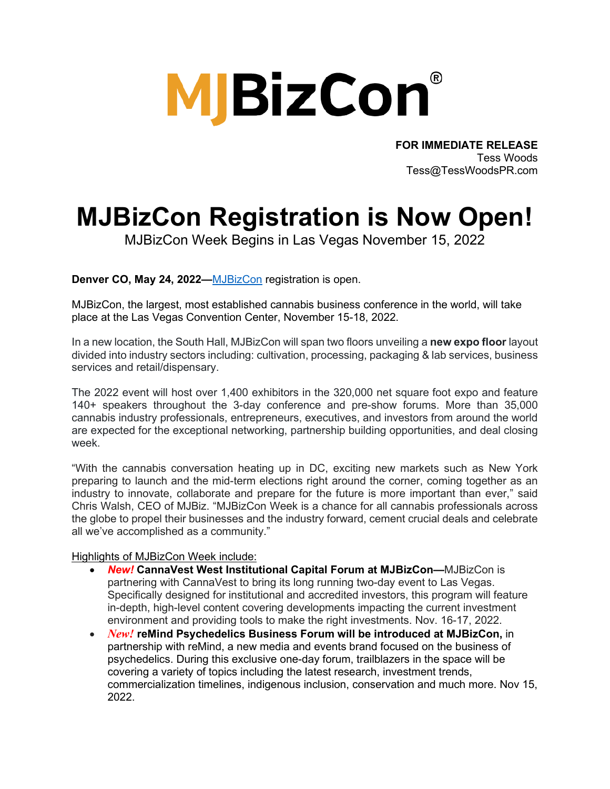# **MJBizCon**

**FOR IMMEDIATE RELEASE** Tess Woods Tess@TessWoodsPR.com

## **MJBizCon Registration is Now Open!**

MJBizCon Week Begins in Las Vegas November 15, 2022

**Denver CO, May 24, 2022—**[MJBizCon](http://www.mjbizcon.com/) registration is open.

MJBizCon, the largest, most established cannabis business conference in the world, will take place at the Las Vegas Convention Center, November 15-18, 2022.

In a new location, the South Hall, MJBizCon will span two floors unveiling a **new expo floor** layout divided into industry sectors including: cultivation, processing, packaging & lab services, business services and retail/dispensary.

The 2022 event will host over 1,400 exhibitors in the 320,000 net square foot expo and feature 140+ speakers throughout the 3-day conference and pre-show forums. More than 35,000 cannabis industry professionals, entrepreneurs, executives, and investors from around the world are expected for the exceptional networking, partnership building opportunities, and deal closing week.

"With the cannabis conversation heating up in DC, exciting new markets such as New York preparing to launch and the mid-term elections right around the corner, coming together as an industry to innovate, collaborate and prepare for the future is more important than ever," said Chris Walsh, CEO of MJBiz. "MJBizCon Week is a chance for all cannabis professionals across the globe to propel their businesses and the industry forward, cement crucial deals and celebrate all we've accomplished as a community."

#### Highlights of MJBizCon Week include:

- *New!* **CannaVest West Institutional Capital Forum at MJBizCon—**MJBizCon is partnering with CannaVest to bring its long running two-day event to Las Vegas. Specifically designed for institutional and accredited investors, this program will feature in-depth, high-level content covering developments impacting the current investment environment and providing tools to make the right investments. Nov. 16-17, 2022.
- *New!* **reMind Psychedelics Business Forum will be introduced at MJBizCon,** in partnership with reMind, a new media and events brand focused on the business of psychedelics. During this exclusive one-day forum, trailblazers in the space will be covering a variety of topics including the latest research, investment trends, commercialization timelines, indigenous inclusion, conservation and much more. Nov 15, 2022.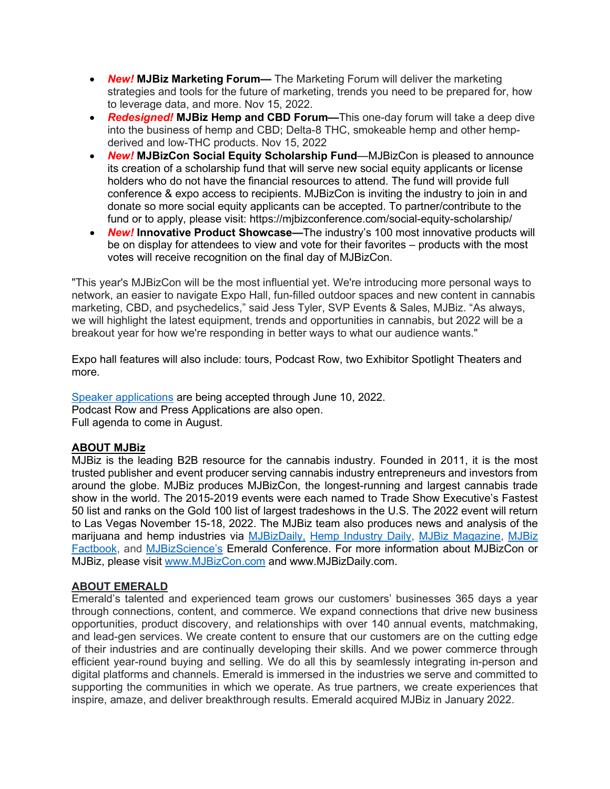- *New!* **MJBiz Marketing Forum—** The Marketing Forum will deliver the marketing strategies and tools for the future of marketing, trends you need to be prepared for, how to leverage data, and more. Nov 15, 2022.
- *Redesigned!* **MJBiz Hemp and CBD Forum—**This one-day forum will take a deep dive into the business of hemp and CBD; Delta-8 THC, smokeable hemp and other hempderived and low-THC products. Nov 15, 2022
- *New!* **MJBizCon Social Equity Scholarship Fund**—MJBizCon is pleased to announce its creation of a scholarship fund that will serve new social equity applicants or license holders who do not have the financial resources to attend. The fund will provide full conference & expo access to recipients. MJBizCon is inviting the industry to join in and donate so more social equity applicants can be accepted. To partner/contribute to the fund or to apply, please visit: https://mjbizconference.com/social-equity-scholarship/
- *New!* **Innovative Product Showcase—**The industry's 100 most innovative products will be on display for attendees to view and vote for their favorites – products with the most votes will receive recognition on the final day of MJBizCon.

"This year's MJBizCon will be the most influential yet. We're introducing more personal ways to network, an easier to navigate Expo Hall, fun-filled outdoor spaces and new content in cannabis marketing, CBD, and psychedelics," said Jess Tyler, SVP Events & Sales, MJBiz. "As always, we will highlight the latest equipment, trends and opportunities in cannabis, but 2022 will be a breakout year for how we're responding in better ways to what our audience wants."

Expo hall features will also include: tours, Podcast Row, two Exhibitor Spotlight Theaters and more.

[Speaker applications](https://mjbiz22-mjbizspeak.cm.mapyourshow.com/2_0/index.cfm/proposals:main) are being accepted through June 10, 2022. Podcast Row and Press Applications are also open. Full agenda to come in August.

### **ABOUT MJBiz**

MJBiz is the leading B2B resource for the cannabis industry. Founded in 2011, it is the most trusted publisher and event producer serving cannabis industry entrepreneurs and investors from around the globe. MJBiz produces MJBizCon, the longest-running and largest cannabis trade show in the world. The 2015-2019 events were each named to Trade Show Executive's Fastest 50 list and ranks on the Gold 100 list of largest tradeshows in the U.S. The 2022 event will return to Las Vegas November 15-18, 2022. The MJBiz team also produces news and analysis of the marijuana and hemp industries via [MJBizDaily,](https://mjbizdaily.com/) [Hemp Industry Daily,](https://hempindustrydaily.com/) [MJBiz Magazine,](https://mjbizdaily.com/marijuana-business-magazine/) [MJBiz](https://insights.mjbizdaily.com/factbook/)  [Factbook,](https://insights.mjbizdaily.com/factbook/) and [MJBizScience's](https://mjbizscience.com/) Emerald Conference. For more information about MJBizCon or MJBiz, please visit [www.MJBizCon.com](http://www.mjbizcon.com/) and www.MJBizDaily.com.

#### **ABOUT EMERALD**

Emerald's talented and experienced team grows our customers' businesses 365 days a year through connections, content, and commerce. We expand connections that drive new business opportunities, product discovery, and relationships with over 140 annual events, matchmaking, and lead-gen services. We create content to ensure that our customers are on the cutting edge of their industries and are continually developing their skills. And we power commerce through efficient year-round buying and selling. We do all this by seamlessly integrating in-person and digital platforms and channels. Emerald is immersed in the industries we serve and committed to supporting the communities in which we operate. As true partners, we create experiences that inspire, amaze, and deliver breakthrough results. Emerald acquired MJBiz in January 2022.